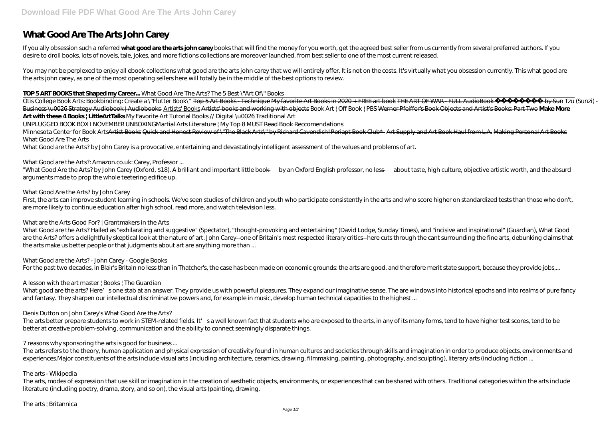## **What Good Are The Arts John Carey**

If you ally obsession such a referred what good are the artsjohn carey books that will find the money for you worth, get the agreed best seller from us currently from several preferred authors. If you desire to droll books, lots of novels, tale, jokes, and more fictions collections are moreover launched, from best seller to one of the most current released.

You may not be perplexed to enjoy all ebook collections what good are the arts john carey that we will entirely offer. It is not on the costs. It's virtually what you obsession currently. This what good are the arts john carey, as one of the most operating sellers here will totally be in the middle of the best options to review.

Otis College Book Arts: Bookbinding: Create a \"Flutter Book\" Top 5 Art Books - Technique My favorite Art Books in 2020 + FREE art book THE ART OF WAR - FULL AudioBook by Sun Tzu (Sunzi) -Business \u0026 Strategy Audiobook | Audiobooks Artists' Books Artists' books and working with objects *Book Art | Off Book | PBS* Werner Pfeiffer's Book Objects and Artist's Books: Part Two **Make More Art with these 4 Books | LittleArtTalks** My Favorite Art Tutorial Books // Digital \u0026 Traditional Art

## **TOP 5 ART BOOKS that Shaped my Career...** What Good Are The Arts? The 5 Best \"Art Of\" Books

Minnesota Center for Book ArtsArtist Books Quick and Honest Review of \"The Black Arts\" by Richard Cavendish! Periapt Book Club\* Art Supply and Art Book Haul from L.A. Making Personal Art Books What Good Are The Arts

What Good are the Arts? by John Carey is a provocative, entertaining and devastatingly intelligent assessment of the values and problems of art.

First, the arts can improve student learning in schools. We've seen studies of children and youth who participate consistently in the arts and who score higher on standardized tests than those who don't, are more likely to continue education after high school, read more, and watch television less.

UNPLUGGED BOOK BOX I NOVEMBER UNBOXINGMartial Arts Literature | My Top 8 MUST Read Book Reccomendations

What good are the arts? Here's one stab at an answer. They provide us with powerful pleasures. They expand our imaginative sense. The are windows into historical epochs and into realms of pure fancy and fantasy. They sharpen our intellectual discriminative powers and, for example in music, develop human technical capacities to the highest ...

What Good are the Arts?: Amazon.co.uk: Carey, Professor ...

The arts better prepare students to work in STEM-related fields. It's a well known fact that students who are exposed to the arts, in any of its many forms, tend to have higher test scores, tend to be better at creative problem-solving, communication and the ability to connect seemingly disparate things.

"What Good Are the Arts? by John Carey (Oxford, \$18). A brilliant and important little book — by an Oxford English professor, no less — about taste, high culture, objective artistic worth, and the absurd arguments made to prop the whole teetering edifice up.

What Good Are the Arts? by John Carey

## What are the Arts Good For? | Grantmakers in the Arts

What Good are the Arts? Hailed as "exhilarating and suggestive" (Spectator), "thought-provoking and entertaining" (David Lodge, Sunday Times), and "incisive and inspirational" (Guardian), What Good are the Arts? offers a delightfully skeptical look at the nature of art. John Carey--one of Britain's most respected literary critics--here cuts through the cant surrounding the fine arts, debunking claims that the arts make us better people or that judgments about art are anything more than ...

What Good are the Arts? - John Carey - Google Books

For the past two decades, in Blair's Britain no less than in Thatcher's, the case has been made on economic grounds: the arts are good, and therefore merit state support, because they provide jobs,...

A lesson with the art master | Books | The Guardian

Denis Dutton on John Carey's What Good Are the Arts?

7 reasons why sponsoring the arts is good for business ...

The arts refers to the theory, human application and physical expression of creativity found in human cultures and societies through skills and imagination in order to produce objects, environments and experiences.Major constituents of the arts include visual arts (including architecture, ceramics, drawing, filmmaking, painting, photography, and sculpting), literary arts (including fiction ...

## The arts - Wikipedia

The arts, modes of expression that use skill or imagination in the creation of aesthetic objects, environments, or experiences that can be shared with others. Traditional categories within the arts include literature (including poetry, drama, story, and so on), the visual arts (painting, drawing,

The arts | Britannica